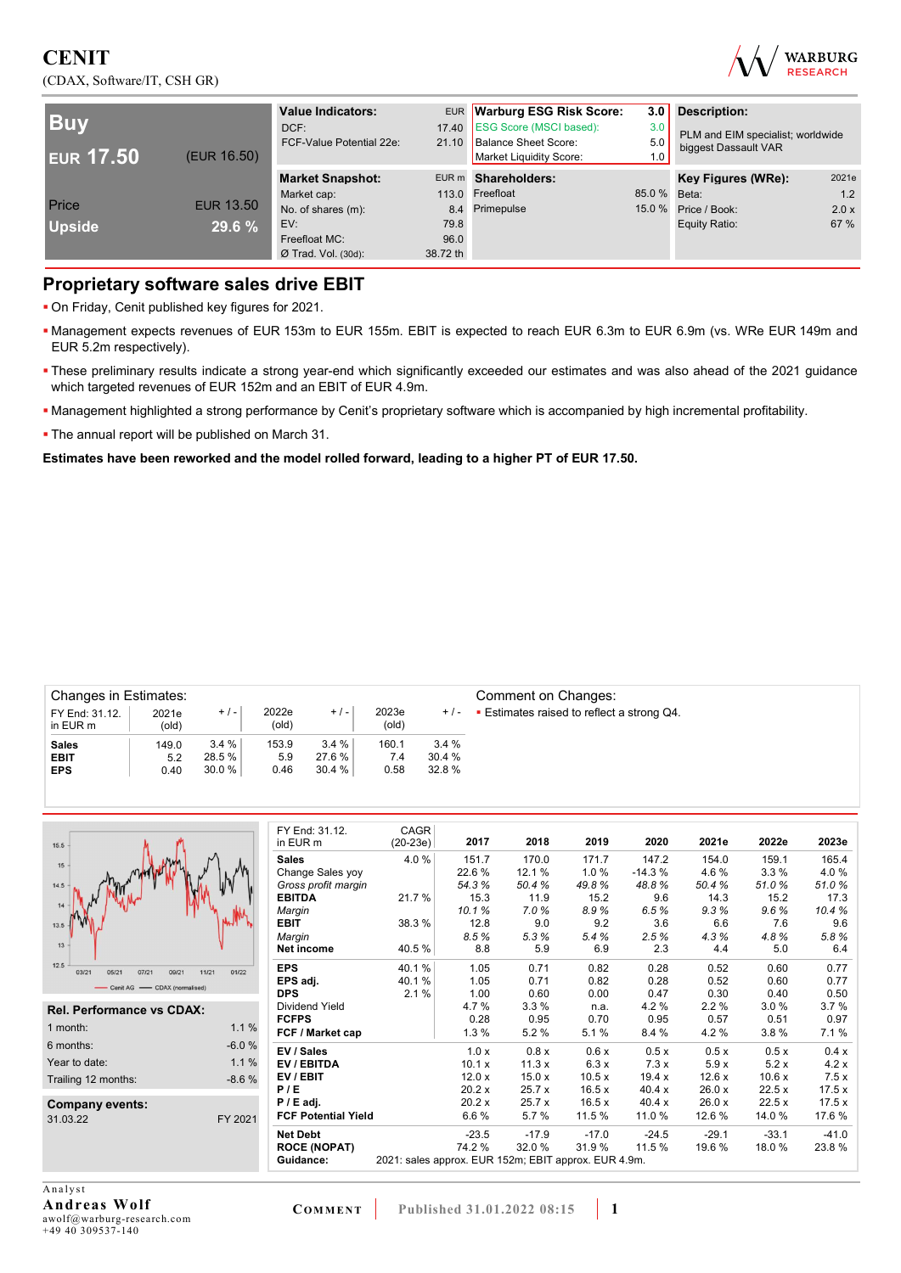(CDAX, Software/IT, CSH GR)



| <b>Buv</b><br><b>EUR 17.50</b> | (EUR 16.50)      | <b>Value Indicators:</b><br>DCF:<br>FCF-Value Potential 22e: | 17.40<br>21.10 | EUR Warburg ESG Risk Score:<br><b>ESG Score (MSCI based):</b><br><b>Balance Sheet Score:</b><br>Market Liquidity Score: | 3.0<br>3.0<br>5.0<br>1.0 | Description:<br>PLM and EIM specialist; worldwide<br>biggest Dassault VAR |       |
|--------------------------------|------------------|--------------------------------------------------------------|----------------|-------------------------------------------------------------------------------------------------------------------------|--------------------------|---------------------------------------------------------------------------|-------|
|                                |                  | <b>Market Snapshot:</b>                                      |                | EUR m Shareholders:                                                                                                     |                          | Key Figures (WRe):                                                        | 2021e |
| Price                          | <b>EUR 13.50</b> | Market cap:                                                  | 113.0          | Freefloat                                                                                                               | 85.0 % Beta:             |                                                                           | 1.2   |
|                                |                  | No. of shares (m):                                           |                | 8.4 Primepulse                                                                                                          | 15.0 %                   | Price / Book:                                                             | 2.0 x |
| <b>Upside</b>                  | 29.6 %           | EV:                                                          | 79.8           |                                                                                                                         |                          | Equity Ratio:                                                             | 67 %  |
|                                |                  | Freefloat MC:                                                | 96.0           |                                                                                                                         |                          |                                                                           |       |
|                                |                  | $Ø$ Trad. Vol. (30d):                                        | 38.72 th       |                                                                                                                         |                          |                                                                           |       |

## **Proprietary software sales drive EBIT**

On Friday, Cenit published key figures for 2021.

- Management expects revenues of EUR 153m to EUR 155m. EBIT is expected to reach EUR 6.3m to EUR 6.9m (vs. WRe EUR 149m and EUR 5.2m respectively).
- These preliminary results indicate a strong year-end which significantly exceeded our estimates and was also ahead of the 2021 guidance which targeted revenues of EUR 152m and an EBIT of EUR 4.9m.
- Management highlighted a strong performance by Cenit's proprietary software which is accompanied by high incremental profitability.
- The annual report will be published on March 31.

#### **Estimates have been reworked and the model rolled forward, leading to a higher PT of EUR 17.50.**

| Changes in Estimates:      |                |        |                |           |                |        | Comment on Changes:                        |
|----------------------------|----------------|--------|----------------|-----------|----------------|--------|--------------------------------------------|
| FY End: 31.12.<br>in EUR m | 2021e<br>(old) | $+/-$  | 2022e<br>(old) | $+/-$     | 2023e<br>(old) | $+/-$  | • Estimates raised to reflect a strong Q4. |
| <b>Sales</b>               | 149.0          | 3.4%   | 153.9          | 3.4%      | 160.1          | 3.4%   |                                            |
| <b>EBIT</b>                | 5.2            | 28.5 % | 5.9            | $27.6 \%$ | 7.4            | 30.4 % |                                            |
| <b>EPS</b>                 | 0.40           | 30.0%  | 0.46           | 30.4 %    | 0.58           | 32.8%  |                                            |

|                                          |                | FY End: 31.12.             | CAGR                                                 |         |         |         |          |         |         |         |
|------------------------------------------|----------------|----------------------------|------------------------------------------------------|---------|---------|---------|----------|---------|---------|---------|
| 15.5                                     |                | in EUR m                   | $(20-23e)$                                           | 2017    | 2018    | 2019    | 2020     | 2021e   | 2022e   | 2023e   |
| 15                                       |                | <b>Sales</b>               | 4.0%                                                 | 151.7   | 170.0   | 171.7   | 147.2    | 154.0   | 159.1   | 165.4   |
|                                          |                | Change Sales yoy           |                                                      | 22.6%   | 12.1%   | 1.0%    | $-14.3%$ | 4.6%    | 3.3%    | 4.0%    |
| 14.5                                     |                | Gross profit margin        |                                                      | 54.3%   | 50.4%   | 49.8%   | 48.8%    | 50.4%   | 51.0%   | 51.0%   |
|                                          |                | <b>EBITDA</b>              | 21.7%                                                | 15.3    | 11.9    | 15.2    | 9.6      | 14.3    | 15.2    | 17.3    |
|                                          |                | Margin                     |                                                      | 10.1%   | 7.0%    | 8.9%    | 6.5%     | 9.3%    | 9.6%    | 10.4%   |
| $13.5 -$                                 |                | <b>EBIT</b>                | 38.3%                                                | 12.8    | 9.0     | 9.2     | 3.6      | 6.6     | 7.6     | 9.6     |
|                                          |                | Margin                     |                                                      | 8.5%    | 5.3%    | 5.4%    | 2.5%     | 4.3%    | 4.8%    | 5.8%    |
| 13                                       |                | Net income                 | 40.5%                                                | 8.8     | 5.9     | 6.9     | 2.3      | 4.4     | 5.0     | 6.4     |
| 12.5<br>05/21<br>07/21<br>03/21<br>09/21 | 01/22<br>11/21 | <b>EPS</b>                 | 40.1%                                                | 1.05    | 0.71    | 0.82    | 0.28     | 0.52    | 0.60    | 0.77    |
| - Cenit AG - CDAX (normalised)           |                | EPS adj.                   | 40.1%                                                | 1.05    | 0.71    | 0.82    | 0.28     | 0.52    | 0.60    | 0.77    |
|                                          |                | <b>DPS</b>                 | 2.1%                                                 | 1.00    | 0.60    | 0.00    | 0.47     | 0.30    | 0.40    | 0.50    |
| Rel. Performance vs CDAX:                |                | Dividend Yield             |                                                      | 4.7%    | 3.3%    | n.a.    | 4.2%     | 2.2%    | 3.0%    | 3.7%    |
|                                          |                | <b>FCFPS</b>               |                                                      | 0.28    | 0.95    | 0.70    | 0.95     | 0.57    | 0.51    | 0.97    |
| 1 month:                                 | 1.1%           | FCF / Market cap           |                                                      | 1.3%    | 5.2%    | 5.1%    | 8.4 %    | 4.2%    | 3.8%    | 7.1 %   |
| 6 months:                                | $-6.0%$        | EV / Sales                 |                                                      | 1.0 x   | 0.8 x   | 0.6x    | 0.5x     | 0.5x    | 0.5x    | 0.4x    |
| Year to date:                            | 1.1%           | EV / EBITDA                |                                                      | 10.1 x  | 11.3x   | 6.3x    | 7.3x     | 5.9x    | 5.2x    | 4.2x    |
| Trailing 12 months:                      | $-8.6%$        | EV/EBIT                    |                                                      | 12.0x   | 15.0x   | 10.5x   | 19.4 x   | 12.6x   | 10.6x   | 7.5x    |
|                                          |                | P/E                        |                                                      | 20.2x   | 25.7x   | 16.5x   | 40.4 x   | 26.0x   | 22.5x   | 17.5x   |
| <b>Company events:</b>                   |                | $P / E$ adj.               |                                                      | 20.2x   | 25.7x   | 16.5x   | 40.4 x   | 26.0x   | 22.5x   | 17.5x   |
| 31.03.22                                 | FY 2021        | <b>FCF Potential Yield</b> |                                                      | 6.6%    | 5.7%    | 11.5 %  | 11.0%    | 12.6 %  | 14.0%   | 17.6 %  |
|                                          |                | <b>Net Debt</b>            |                                                      | $-23.5$ | $-17.9$ | $-17.0$ | $-24.5$  | $-29.1$ | $-33.1$ | $-41.0$ |
|                                          |                | <b>ROCE (NOPAT)</b>        |                                                      | 74.2 %  | 32.0%   | 31.9%   | 11.5 %   | 19.6%   | 18.0%   | 23.8%   |
|                                          |                | Guidance:                  | 2021: sales approx. EUR 152m; EBIT approx. EUR 4.9m. |         |         |         |          |         |         |         |
|                                          |                |                            |                                                      |         |         |         |          |         |         |         |
| Analyst                                  |                |                            |                                                      |         |         |         |          |         |         |         |

**Andreas Wolf**  awolf@warburg-research.com +49 40 309537-140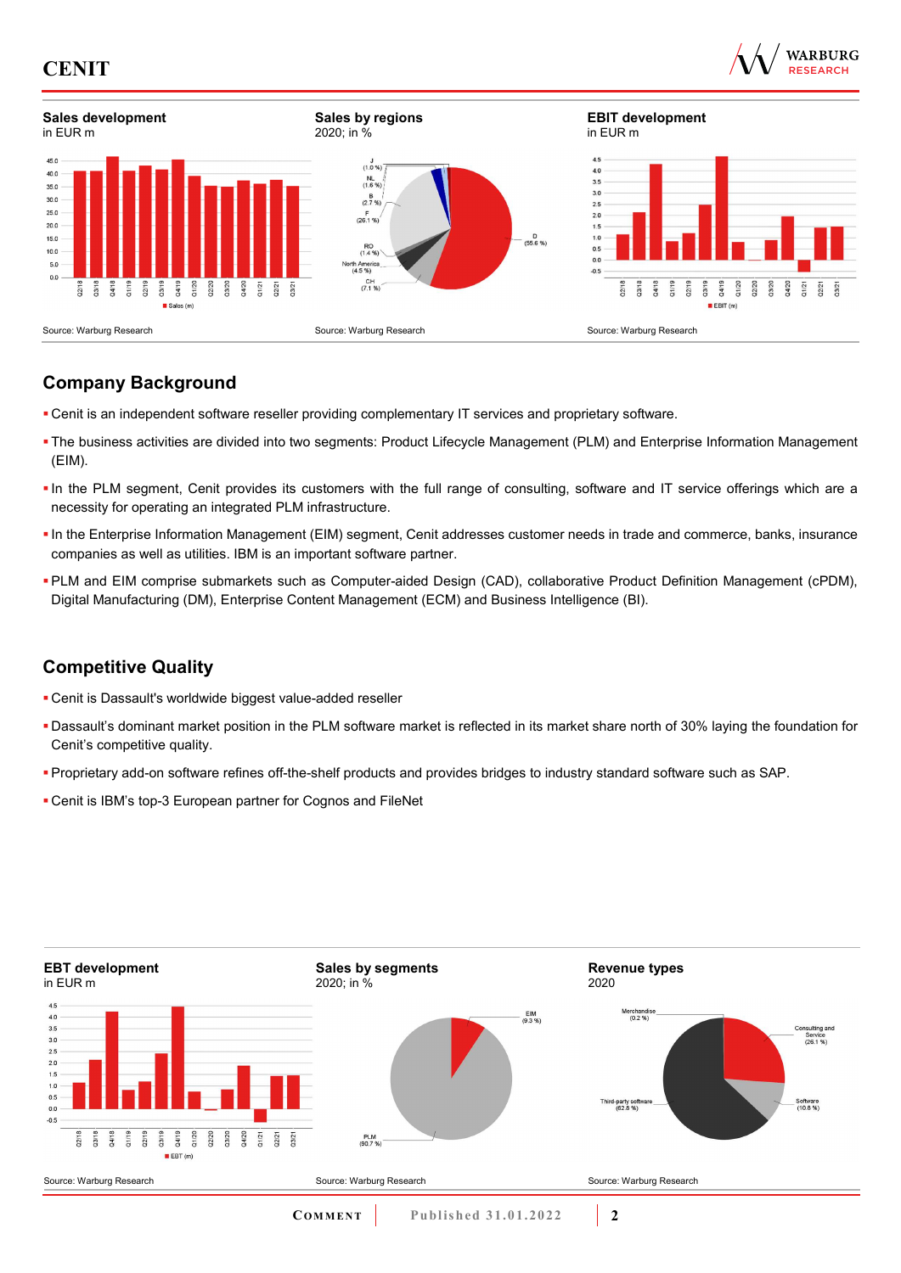





## **Company Background**

- Cenit is an independent software reseller providing complementary IT services and proprietary software.
- The business activities are divided into two segments: Product Lifecycle Management (PLM) and Enterprise Information Management (EIM).
- In the PLM segment, Cenit provides its customers with the full range of consulting, software and IT service offerings which are a necessity for operating an integrated PLM infrastructure.
- In the Enterprise Information Management (EIM) segment, Cenit addresses customer needs in trade and commerce, banks, insurance companies as well as utilities. IBM is an important software partner.
- PLM and EIM comprise submarkets such as Computer-aided Design (CAD), collaborative Product Definition Management (cPDM), Digital Manufacturing (DM), Enterprise Content Management (ECM) and Business Intelligence (BI).

## **Competitive Quality**

- Cenit is Dassault's worldwide biggest value-added reseller
- Dassault's dominant market position in the PLM software market is reflected in its market share north of 30% laying the foundation for Cenit's competitive quality.
- Proprietary add-on software refines off-the-shelf products and provides bridges to industry standard software such as SAP.
- Cenit is IBM's top-3 European partner for Cognos and FileNet

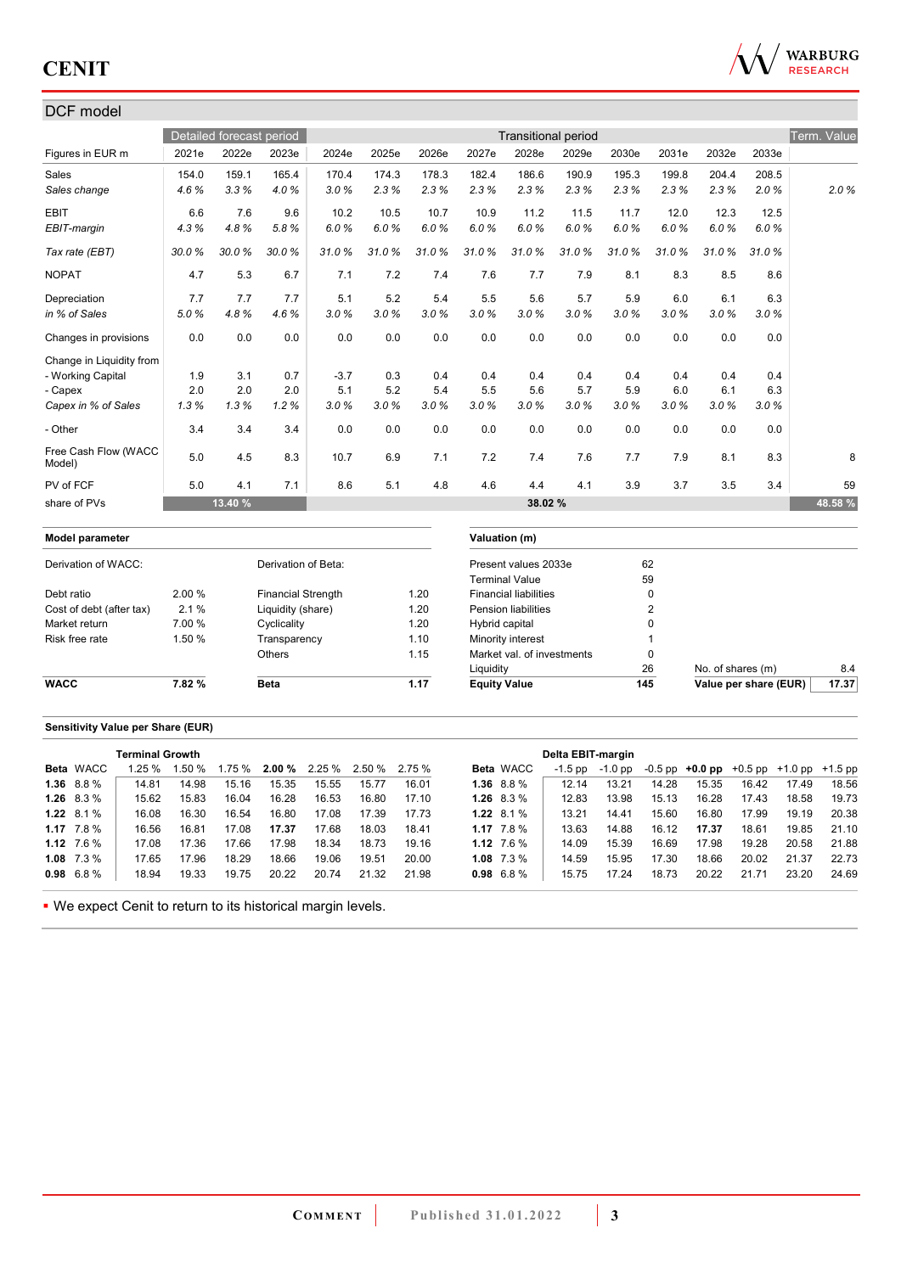

## DCF model

|                                |        | Detailed forecast period |                           |        |       |       |                | <b>Transitional period</b>   |       |       |           |       |       | Term. Value |
|--------------------------------|--------|--------------------------|---------------------------|--------|-------|-------|----------------|------------------------------|-------|-------|-----------|-------|-------|-------------|
| Figures in EUR m               | 2021e  | 2022e                    | 2023e                     | 2024e  | 2025e | 2026e | 2027e          | 2028e                        | 2029e | 2030e | 2031e     | 2032e | 2033e |             |
| Sales                          | 154.0  | 159.1                    | 165.4                     | 170.4  | 174.3 | 178.3 | 182.4          | 186.6                        | 190.9 | 195.3 | 199.8     | 204.4 | 208.5 |             |
| Sales change                   | 4.6%   | 3.3%                     | 4.0%                      | 3.0%   | 2.3%  | 2.3%  | 2.3%           | 2.3%                         | 2.3%  | 2.3%  | 2.3%      | 2.3%  | 2.0%  | 2.0%        |
| <b>EBIT</b>                    | 6.6    | 7.6                      | 9.6                       | 10.2   | 10.5  | 10.7  | 10.9           | 11.2                         | 11.5  | 11.7  | 12.0      | 12.3  | 12.5  |             |
| EBIT-margin                    | 4.3%   | 4.8%                     | 5.8%                      | 6.0%   | 6.0%  | 6.0%  | 6.0%           | 6.0%                         | 6.0%  | 6.0%  | 6.0%      | 6.0%  | 6.0%  |             |
| Tax rate (EBT)                 | 30.0%  | 30.0%                    | 30.0%                     | 31.0%  | 31.0% | 31.0% | 31.0%          | 31.0%                        | 31.0% | 31.0% | 31.0%     | 31.0% | 31.0% |             |
| <b>NOPAT</b>                   | 4.7    | 5.3                      | 6.7                       | 7.1    | 7.2   | 7.4   | 7.6            | 7.7                          | 7.9   | 8.1   | 8.3       | 8.5   | 8.6   |             |
| Depreciation                   | 7.7    | 7.7                      | 7.7                       | 5.1    | 5.2   | 5.4   | 5.5            | 5.6                          | 5.7   | 5.9   | 6.0       | 6.1   | 6.3   |             |
| in % of Sales                  | 5.0%   | 4.8%                     | 4.6%                      | 3.0%   | 3.0%  | 3.0%  | 3.0%           | 3.0%                         | 3.0%  | 3.0%  | 3.0%      | 3.0%  | 3.0%  |             |
| Changes in provisions          | 0.0    | 0.0                      | 0.0                       | 0.0    | 0.0   | 0.0   | 0.0            | 0.0                          | 0.0   | 0.0   | 0.0       | 0.0   | 0.0   |             |
| Change in Liquidity from       |        |                          |                           |        |       |       |                |                              |       |       |           |       |       |             |
| - Working Capital              | 1.9    | 3.1                      | 0.7                       | $-3.7$ | 0.3   | 0.4   | 0.4            | 0.4                          | 0.4   | 0.4   | 0.4       | 0.4   | 0.4   |             |
| - Capex                        | 2.0    | 2.0                      | 2.0                       | 5.1    | 5.2   | 5.4   | 5.5            | 5.6                          | 5.7   | 5.9   | 6.0       | 6.1   | 6.3   |             |
| Capex in % of Sales            | 1.3%   | 1.3%                     | 1.2%                      | 3.0%   | 3.0%  | 3.0%  | 3.0%           | 3.0%                         | 3.0%  | 3.0%  | 3.0%      | 3.0%  | 3.0%  |             |
| - Other                        | 3.4    | 3.4                      | 3.4                       | 0.0    | 0.0   | 0.0   | 0.0            | 0.0                          | 0.0   | 0.0   | 0.0       | 0.0   | 0.0   |             |
| Free Cash Flow (WACC<br>Model) | 5.0    | 4.5                      | 8.3                       | 10.7   | 6.9   | 7.1   | 7.2            | 7.4                          | 7.6   | 7.7   | 7.9       | 8.1   | 8.3   | 8           |
| PV of FCF                      | 5.0    | 4.1                      | 7.1                       | 8.6    | 5.1   | 4.8   | 4.6            | 4.4                          | 4.1   | 3.9   | 3.7       | 3.5   | 3.4   | 59          |
| share of PVs                   |        | 13.40 %                  |                           |        |       |       |                | 38.02 %                      |       |       |           |       |       | 48.58 %     |
| <b>Model parameter</b>         |        |                          |                           |        |       |       |                | Valuation (m)                |       |       |           |       |       |             |
| Derivation of WACC:            |        |                          | Derivation of Beta:       |        |       |       |                | Present values 2033e         |       |       | 62        |       |       |             |
|                                |        |                          |                           |        |       |       |                | <b>Terminal Value</b>        |       |       | 59        |       |       |             |
| Debt ratio                     | 2.00 % |                          | <b>Financial Strength</b> |        |       | 1.20  |                | <b>Financial liabilities</b> |       |       | $\pmb{0}$ |       |       |             |
| Cost of debt (after tax)       | 2.1%   |                          | Liquidity (share)         |        |       | 1.20  |                | <b>Pension liabilities</b>   |       |       | 2         |       |       |             |
| Market return                  | 7.00 % |                          | Cyclicality               |        |       | 1.20  | Hybrid capital |                              |       |       | 0         |       |       |             |
| Risk free rate                 | 1.50 % |                          | Transparency              |        |       | 1.10  |                | Minority interest            |       |       |           |       |       |             |
|                                |        |                          | Others                    |        |       | 1.15  |                | Market val. of investments   |       |       | 0         |       |       |             |

### **Sensitivity Value per Share (EUR)**

|                    | <b>Terminal Growth</b> |       |        |                      |       |        |        |               |                  | Delta EBIT-margin |         |       |                                                   |       |       |       |
|--------------------|------------------------|-------|--------|----------------------|-------|--------|--------|---------------|------------------|-------------------|---------|-------|---------------------------------------------------|-------|-------|-------|
| <b>Beta WACC</b>   | 1.25%                  | 1.50% | 1.75 % | <b>2.00 %</b> 2.25 % |       | 2.50 % | 2.75 % |               | <b>Beta WACC</b> | -1.5 pp           | -1.0 pp |       | $-0.5$ pp $+0.0$ pp $+0.5$ pp $+1.0$ pp $+1.5$ pp |       |       |       |
| $1.36$ 8.8 %       | 14.81                  | 14.98 | 15.16  | 15.35                | 15.55 | 15.77  | 16.01  |               | $1.36$ 8.8 %     | 12.14             | 13.21   | 14.28 | 15.35                                             | 16.42 | 17.49 | 18.56 |
| $1.26$ 8.3 %       | 15.62                  | 15.83 | 16.04  | 16.28                | 16.53 | 16.80  | 17.10  |               | 1.26 $8.3\%$     | 12.83             | 13.98   | 15.13 | 16.28                                             | 17.43 | 18.58 | 19.73 |
| $1.22 \quad 8.1\%$ | 16.08                  | 16.30 | 16.54  | 16.80                | 17.08 | 17.39  | 17.73  |               | 1.22 $8.1\%$     | 13.21             | 14.41   | 15.60 | 16.80                                             | 17.99 | 19.19 | 20.38 |
| $1.17$ $7.8\%$     | 16.56                  | 16.81 | 17.08  | 17.37                | 17.68 | 18.03  | 18.41  |               | 1.17 $7.8\%$     | 13.63             | 14.88   | 16.12 | 17.37                                             | 18.61 | 19.85 | 21.10 |
| 1.12 $7.6\%$       | 17.08                  | 17.36 | 17.66  | 17.98                | 18.34 | 18.73  | 19.16  |               | 1.12 $7.6\%$     | 14.09             | 15.39   | 16.69 | 17.98                                             | 19.28 | 20.58 | 21.88 |
| $1.08$ 7.3 %       | 17.65                  | 17.96 | 18.29  | 18.66                | 19.06 | 19.51  | 20.00  |               | $1.08$ 7.3 %     | 14.59             | 15.95   | 17.30 | 18.66                                             | 20.02 | 21.37 | 22.73 |
| $0.98\quad 6.8\%$  | 18.94                  | 19.33 | 19.75  | 20.22                | 20.74 | 21.32  | 21.98  | $0.98\ 6.8\%$ |                  | 15.75             | 17.24   | 18.73 | 20.22                                             | 21.71 | 23.20 | 24.69 |

**WACC 7.82 % Beta** 1.17 **Equity Value 145 Value per share (EUR)** 17.37

Liquidity 26 No. of shares (m) 8.4

We expect Cenit to return to its historical margin levels.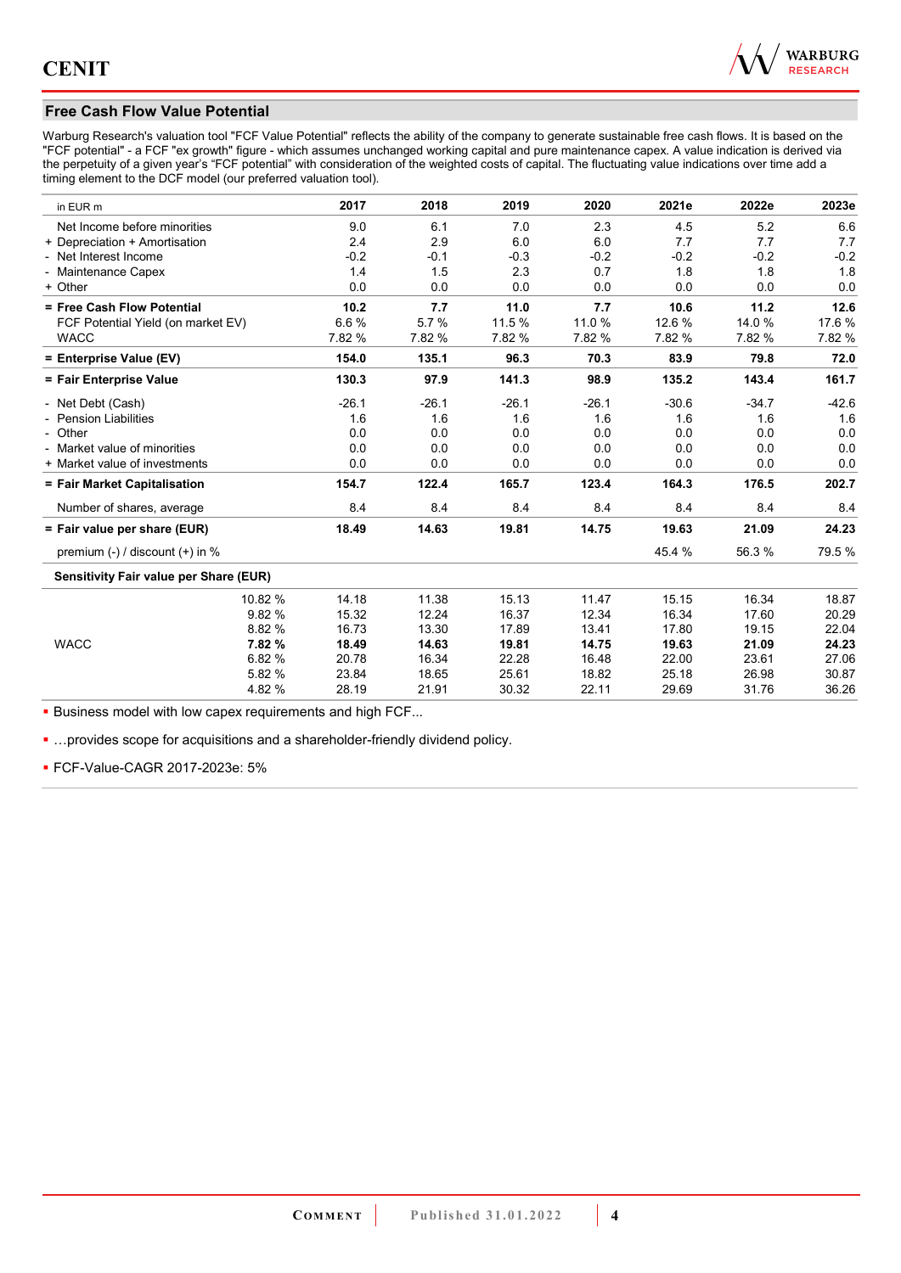

## **Free Cash Flow Value Potential**

Warburg Research's valuation tool "FCF Value Potential" reflects the ability of the company to generate sustainable free cash flows. It is based on the "FCF potential" - a FCF "ex growth" figure - which assumes unchanged working capital and pure maintenance capex. A value indication is derived via the perpetuity of a given year's "FCF potential" with consideration of the weighted costs of capital. The fluctuating value indications over time add a timing element to the DCF model (our preferred valuation tool).

| in EUR m                                      | 2017    | 2018    | 2019    | 2020    | 2021e   | 2022e   | 2023e   |
|-----------------------------------------------|---------|---------|---------|---------|---------|---------|---------|
| Net Income before minorities                  | 9.0     | 6.1     | 7.0     | 2.3     | 4.5     | 5.2     | 6.6     |
| + Depreciation + Amortisation                 | 2.4     | 2.9     | 6.0     | 6.0     | 7.7     | 7.7     | 7.7     |
| - Net Interest Income                         | $-0.2$  | $-0.1$  | $-0.3$  | $-0.2$  | $-0.2$  | $-0.2$  | $-0.2$  |
| - Maintenance Capex                           | 1.4     | 1.5     | 2.3     | 0.7     | 1.8     | 1.8     | 1.8     |
| + Other                                       | 0.0     | 0.0     | 0.0     | 0.0     | 0.0     | 0.0     | 0.0     |
| = Free Cash Flow Potential                    | 10.2    | 7.7     | 11.0    | 7.7     | 10.6    | 11.2    | 12.6    |
| FCF Potential Yield (on market EV)            | 6.6%    | 5.7%    | 11.5 %  | 11.0%   | 12.6%   | 14.0%   | 17.6%   |
| <b>WACC</b>                                   | 7.82 %  | 7.82 %  | 7.82 %  | 7.82 %  | 7.82 %  | 7.82 %  | 7.82 %  |
| = Enterprise Value (EV)                       | 154.0   | 135.1   | 96.3    | 70.3    | 83.9    | 79.8    | 72.0    |
| = Fair Enterprise Value                       | 130.3   | 97.9    | 141.3   | 98.9    | 135.2   | 143.4   | 161.7   |
| - Net Debt (Cash)                             | $-26.1$ | $-26.1$ | $-26.1$ | $-26.1$ | $-30.6$ | $-34.7$ | $-42.6$ |
| - Pension Liabilities                         | 1.6     | 1.6     | 1.6     | 1.6     | 1.6     | 1.6     | 1.6     |
| - Other                                       | 0.0     | 0.0     | 0.0     | 0.0     | 0.0     | 0.0     | 0.0     |
| - Market value of minorities                  | 0.0     | 0.0     | 0.0     | 0.0     | 0.0     | 0.0     | 0.0     |
| + Market value of investments                 | 0.0     | 0.0     | 0.0     | 0.0     | 0.0     | 0.0     | 0.0     |
| = Fair Market Capitalisation                  | 154.7   | 122.4   | 165.7   | 123.4   | 164.3   | 176.5   | 202.7   |
| Number of shares, average                     | 8.4     | 8.4     | 8.4     | 8.4     | 8.4     | 8.4     | 8.4     |
| = Fair value per share (EUR)                  | 18.49   | 14.63   | 19.81   | 14.75   | 19.63   | 21.09   | 24.23   |
| premium $(-)$ / discount $(+)$ in %           |         |         |         |         | 45.4 %  | 56.3%   | 79.5%   |
| <b>Sensitivity Fair value per Share (EUR)</b> |         |         |         |         |         |         |         |
| 10.82 %                                       | 14.18   | 11.38   | 15.13   | 11.47   | 15.15   | 16.34   | 18.87   |
| 9.82%                                         | 15.32   | 12.24   | 16.37   | 12.34   | 16.34   | 17.60   | 20.29   |
| 8.82%                                         | 16.73   | 13.30   | 17.89   | 13.41   | 17.80   | 19.15   | 22.04   |
| 7.82%<br><b>WACC</b>                          | 18.49   | 14.63   | 19.81   | 14.75   | 19.63   | 21.09   | 24.23   |
| 6.82%                                         | 20.78   | 16.34   | 22.28   | 16.48   | 22.00   | 23.61   | 27.06   |
| 5.82 %                                        | 23.84   | 18.65   | 25.61   | 18.82   | 25.18   | 26.98   | 30.87   |
| 4.82 %                                        | 28.19   | 21.91   | 30.32   | 22.11   | 29.69   | 31.76   | 36.26   |

**Business model with low capex requirements and high FCF...** 

**...** provides scope for acquisitions and a shareholder-friendly dividend policy.

FCF-Value-CAGR 2017-2023e: 5%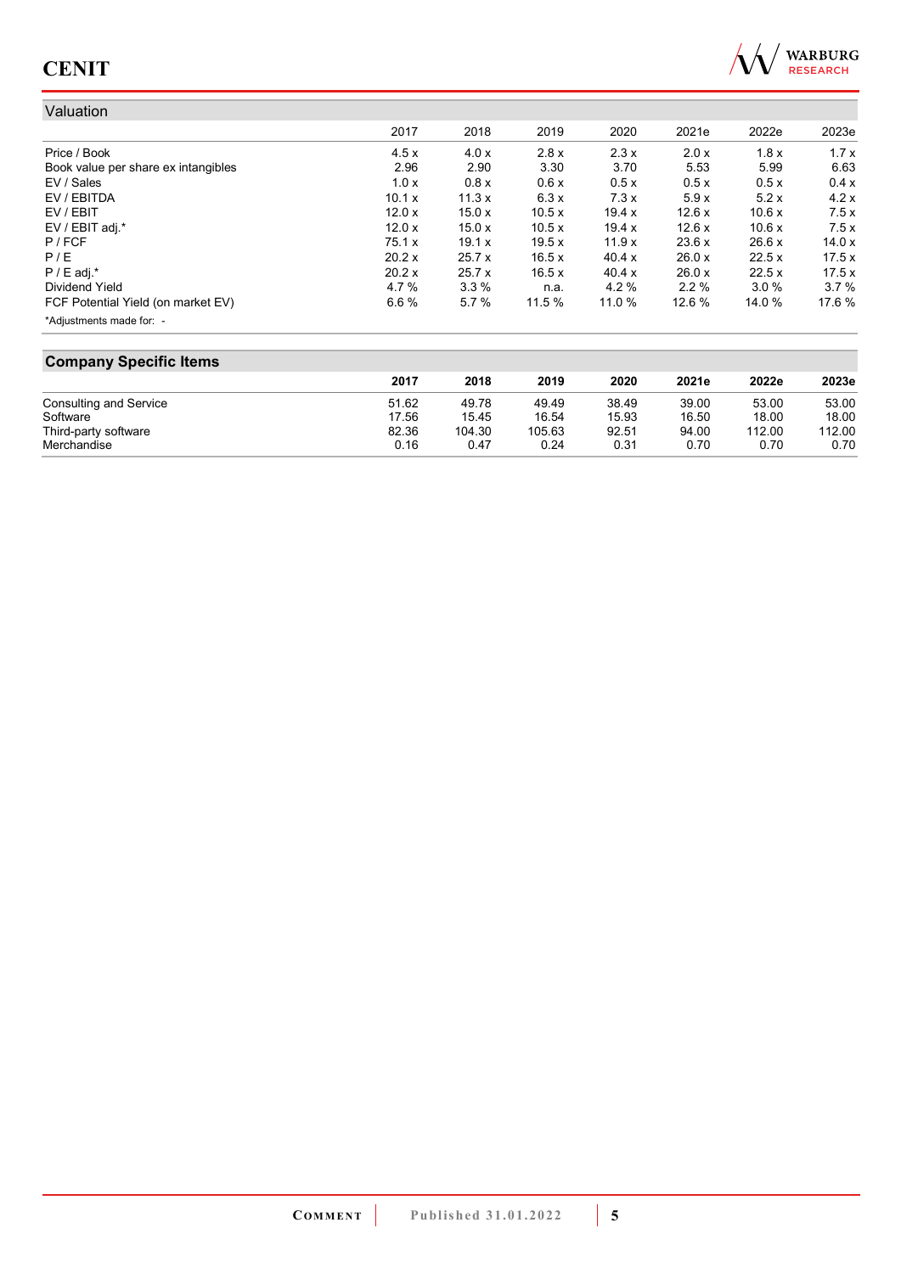

| Valuation                           |        |         |        |               |         |        |        |
|-------------------------------------|--------|---------|--------|---------------|---------|--------|--------|
|                                     | 2017   | 2018    | 2019   | 2020          | 2021e   | 2022e  | 2023e  |
| Price / Book                        | 4.5x   | 4.0x    | 2.8x   | 2.3x          | 2.0 x   | 1.8x   | 1.7x   |
| Book value per share ex intangibles | 2.96   | 2.90    | 3.30   | 3.70          | 5.53    | 5.99   | 6.63   |
| EV / Sales                          | 1.0x   | 0.8x    | 0.6x   | 0.5x          | 0.5x    | 0.5x   | 0.4x   |
| EV / EBITDA                         | 10.1 x | 11.3x   | 6.3x   | 7.3x          | 5.9x    | 5.2x   | 4.2x   |
| EV / EBIT                           | 12.0x  | 15.0x   | 10.5 x | 19.4 x        | 12.6x   | 10.6x  | 7.5x   |
| EV / EBIT adj.*                     | 12.0x  | 15.0x   | 10.5 x | 19.4 x        | 12.6x   | 10.6x  | 7.5x   |
| P / FCF                             | 75.1 x | 19.1 x  | 19.5x  | 11.9x         | 23.6 x  | 26.6x  | 14.0x  |
| P/E                                 | 20.2 x | 25.7 x  | 16.5x  | 40.4 $\times$ | 26.0 x  | 22.5x  | 17.5x  |
| $P / E$ adj.*                       | 20.2 x | 25.7x   | 16.5x  | 40.4 x        | 26.0x   | 22.5x  | 17.5x  |
| Dividend Yield                      | 4.7 %  | $3.3\%$ | n.a.   | 4.2 %         | $2.2\%$ | 3.0%   | 3.7%   |
| FCF Potential Yield (on market EV)  | 6.6%   | 5.7%    | 11.5 % | 11.0 %        | 12.6 %  | 14.0 % | 17.6 % |
| *Adjustments made for: -            |        |         |        |               |         |        |        |

## **Company Specific Items**

|                        | 2017  | 2018   | 2019   | 2020  | 2021e | 2022e  | 2023e  |
|------------------------|-------|--------|--------|-------|-------|--------|--------|
| Consulting and Service | 51.62 | 49.78  | 49.49  | 38.49 | 39.00 | 53.00  | 53.00  |
| Software               | 17.56 | 15.45  | 16.54  | 15.93 | 16.50 | 18.00  | 18.00  |
| Third-party software   | 82.36 | 104.30 | 105.63 | 92.51 | 94.00 | 112.00 | 112.00 |
| Merchandise            | 0.16  | 0.47   | 0.24   | 0.31  | 0.70  | 0.70   | 0.70   |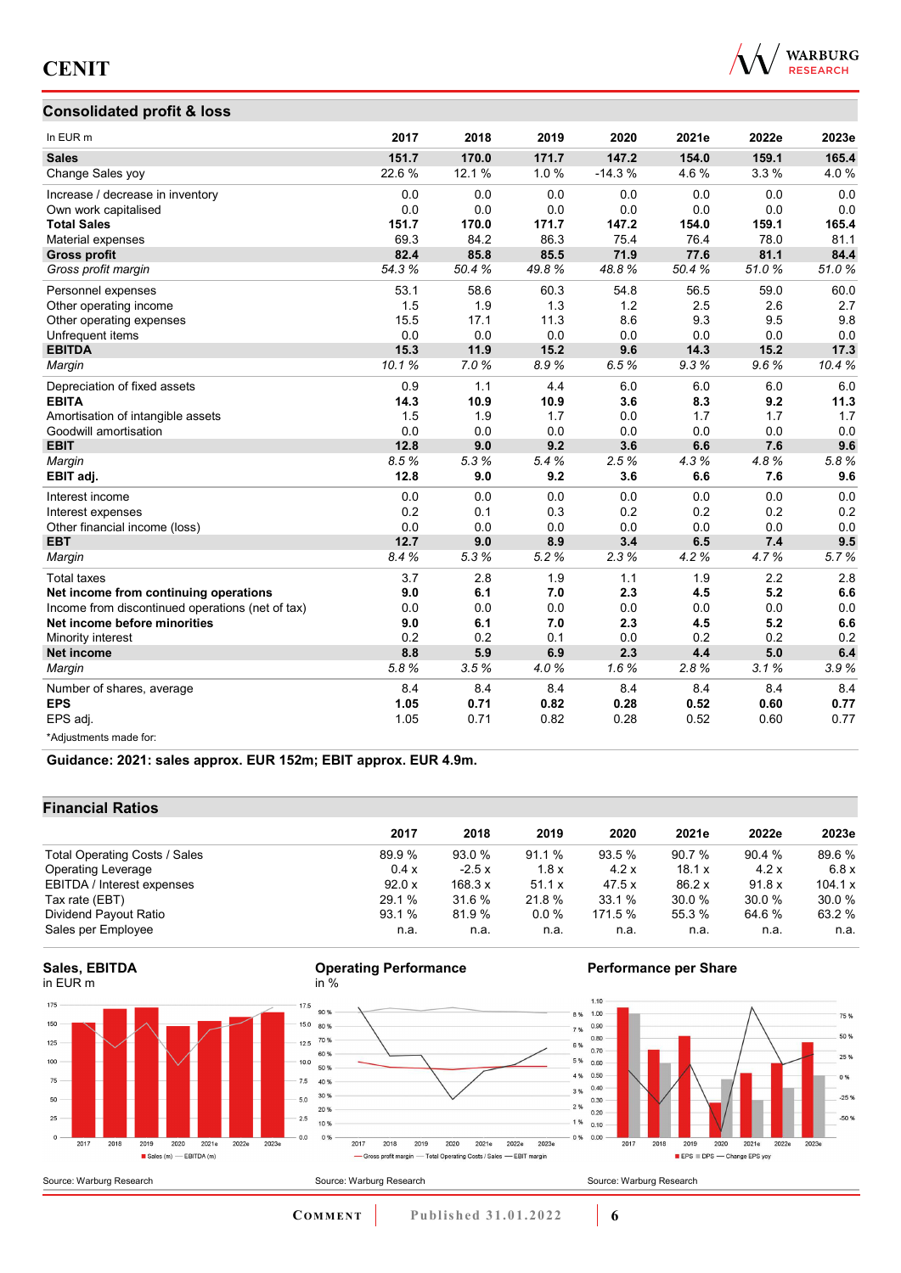

## **Consolidated profit & loss**

| In EUR <sub>m</sub>                              | 2017   | 2018   | 2019  | 2020     | 2021e | 2022e | 2023e |
|--------------------------------------------------|--------|--------|-------|----------|-------|-------|-------|
| <b>Sales</b>                                     | 151.7  | 170.0  | 171.7 | 147.2    | 154.0 | 159.1 | 165.4 |
| Change Sales yoy                                 | 22.6 % | 12.1 % | 1.0%  | $-14.3%$ | 4.6%  | 3.3%  | 4.0%  |
| Increase / decrease in inventory                 | 0.0    | 0.0    | 0.0   | 0.0      | 0.0   | 0.0   | 0.0   |
| Own work capitalised                             | 0.0    | 0.0    | 0.0   | 0.0      | 0.0   | 0.0   | 0.0   |
| <b>Total Sales</b>                               | 151.7  | 170.0  | 171.7 | 147.2    | 154.0 | 159.1 | 165.4 |
| Material expenses                                | 69.3   | 84.2   | 86.3  | 75.4     | 76.4  | 78.0  | 81.1  |
| <b>Gross profit</b>                              | 82.4   | 85.8   | 85.5  | 71.9     | 77.6  | 81.1  | 84.4  |
| Gross profit margin                              | 54.3%  | 50.4%  | 49.8% | 48.8%    | 50.4% | 51.0% | 51.0% |
| Personnel expenses                               | 53.1   | 58.6   | 60.3  | 54.8     | 56.5  | 59.0  | 60.0  |
| Other operating income                           | 1.5    | 1.9    | 1.3   | 1.2      | 2.5   | 2.6   | 2.7   |
| Other operating expenses                         | 15.5   | 17.1   | 11.3  | 8.6      | 9.3   | 9.5   | 9.8   |
| Unfrequent items                                 | 0.0    | 0.0    | 0.0   | 0.0      | 0.0   | 0.0   | 0.0   |
| <b>EBITDA</b>                                    | 15.3   | 11.9   | 15.2  | 9.6      | 14.3  | 15.2  | 17.3  |
| Margin                                           | 10.1%  | 7.0%   | 8.9%  | 6.5%     | 9.3%  | 9.6%  | 10.4% |
| Depreciation of fixed assets                     | 0.9    | 1.1    | 4.4   | 6.0      | 6.0   | 6.0   | 6.0   |
| <b>EBITA</b>                                     | 14.3   | 10.9   | 10.9  | 3.6      | 8.3   | 9.2   | 11.3  |
| Amortisation of intangible assets                | 1.5    | 1.9    | 1.7   | 0.0      | 1.7   | 1.7   | 1.7   |
| Goodwill amortisation                            | 0.0    | 0.0    | 0.0   | 0.0      | 0.0   | 0.0   | 0.0   |
| <b>EBIT</b>                                      | 12.8   | 9.0    | 9.2   | 3.6      | 6.6   | 7.6   | 9.6   |
| Margin                                           | 8.5%   | 5.3%   | 5.4%  | 2.5%     | 4.3%  | 4.8%  | 5.8%  |
| EBIT adj.                                        | 12.8   | 9.0    | 9.2   | 3.6      | 6.6   | 7.6   | 9.6   |
| Interest income                                  | 0.0    | 0.0    | 0.0   | 0.0      | 0.0   | 0.0   | 0.0   |
| Interest expenses                                | 0.2    | 0.1    | 0.3   | 0.2      | 0.2   | 0.2   | 0.2   |
| Other financial income (loss)                    | 0.0    | 0.0    | 0.0   | 0.0      | 0.0   | 0.0   | 0.0   |
| <b>EBT</b>                                       | 12.7   | 9.0    | 8.9   | 3.4      | 6.5   | 7.4   | 9.5   |
| Margin                                           | 8.4%   | 5.3%   | 5.2%  | 2.3%     | 4.2%  | 4.7%  | 5.7%  |
| <b>Total taxes</b>                               | 3.7    | 2.8    | 1.9   | 1.1      | 1.9   | 2.2   | 2.8   |
| Net income from continuing operations            | 9.0    | 6.1    | 7.0   | 2.3      | 4.5   | 5.2   | 6.6   |
| Income from discontinued operations (net of tax) | 0.0    | 0.0    | 0.0   | 0.0      | 0.0   | 0.0   | 0.0   |
| Net income before minorities                     | 9.0    | 6.1    | 7.0   | 2.3      | 4.5   | 5.2   | 6.6   |
| Minority interest                                | 0.2    | 0.2    | 0.1   | 0.0      | 0.2   | 0.2   | 0.2   |
| <b>Net income</b>                                | 8.8    | 5.9    | 6.9   | 2.3      | 4.4   | 5.0   | 6.4   |
| Margin                                           | 5.8%   | 3.5%   | 4.0%  | 1.6%     | 2.8%  | 3.1%  | 3.9%  |
| Number of shares, average                        | 8.4    | 8.4    | 8.4   | 8.4      | 8.4   | 8.4   | 8.4   |
| <b>EPS</b>                                       | 1.05   | 0.71   | 0.82  | 0.28     | 0.52  | 0.60  | 0.77  |
| EPS adj.                                         | 1.05   | 0.71   | 0.82  | 0.28     | 0.52  | 0.60  | 0.77  |
| *Adjustments made for:                           |        |        |       |          |       |       |       |

**Guidance: 2021: sales approx. EUR 152m; EBIT approx. EUR 4.9m.**

## **Financial Ratios**

|                               | 2017   | 2018    | 2019    | 2020    | 2021e  | 2022e  | 2023e   |
|-------------------------------|--------|---------|---------|---------|--------|--------|---------|
| Total Operating Costs / Sales | 89.9%  | 93.0 %  | 91.1%   | 93.5%   | 90.7 % | 90.4%  | 89.6%   |
| <b>Operating Leverage</b>     | 0.4 x  | $-2.5x$ | 1.8x    | 4.2x    | 18.1 x | 4.2x   | 6.8x    |
| EBITDA / Interest expenses    | 92.0 x | 168.3 x | 51.1 x  | 47.5 x  | 86.2x  | 91.8x  | 104.1 x |
| Tax rate (EBT)                | 29.1 % | 31.6 %  | 21.8 %  | 33.1 %  | 30.0%  | 30.0 % | 30.0 %  |
| Dividend Payout Ratio         | 93.1 % | 81.9 %  | $0.0\%$ | 171.5 % | 55.3 % | 64.6%  | 63.2 %  |
| Sales per Employee            | n.a.   | n.a.    | n.a.    | n.a.    | n.a.   | n.a.   | n.a.    |











## **Performance per Share**



**COMMENT** Published 31.01.2022 **6**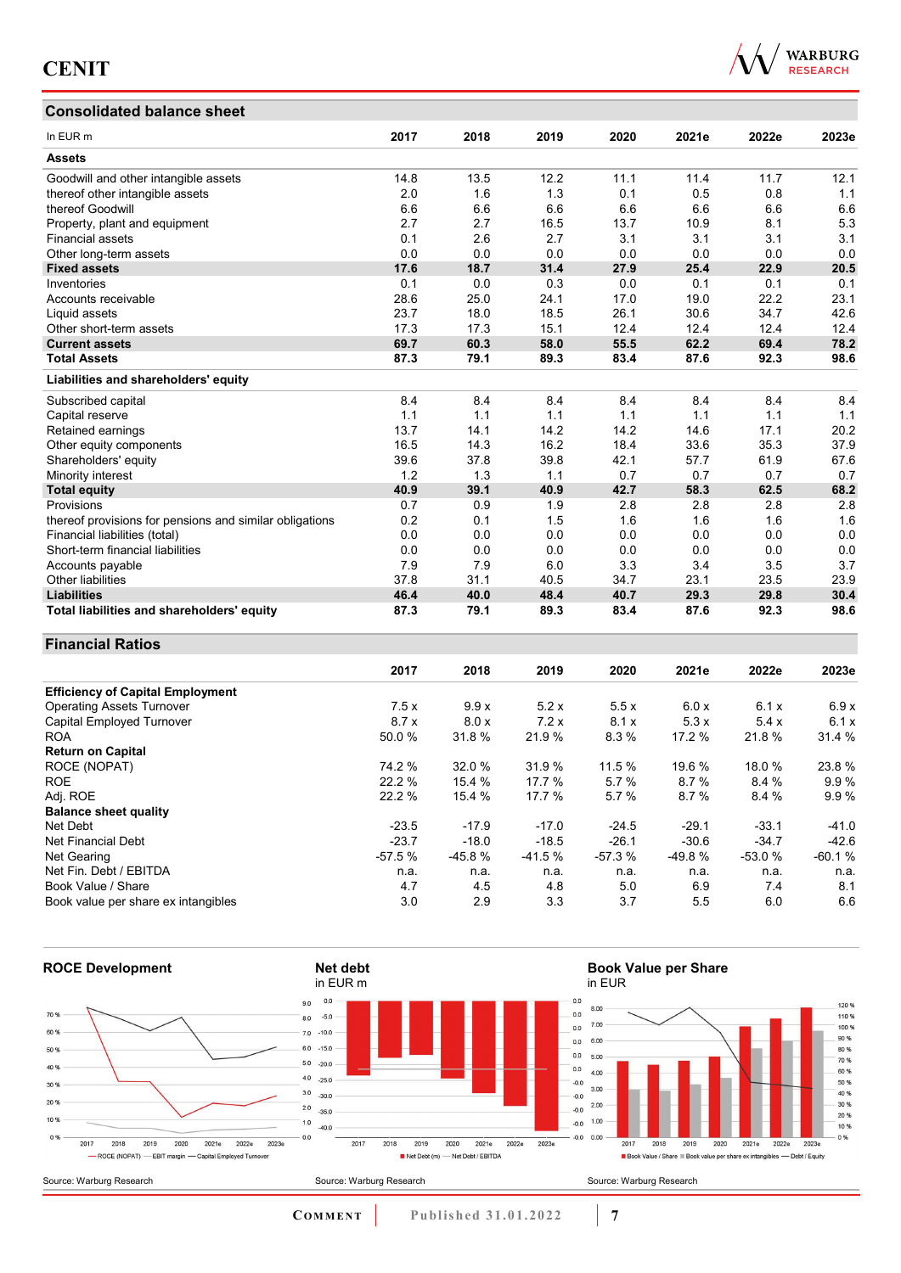## **Consolidated balance sheet**

| In EUR <sub>m</sub>                                     | 2017 | 2018 | 2019 | 2020 | 2021e | 2022e | 2023e |
|---------------------------------------------------------|------|------|------|------|-------|-------|-------|
| <b>Assets</b>                                           |      |      |      |      |       |       |       |
| Goodwill and other intangible assets                    | 14.8 | 13.5 | 12.2 | 11.1 | 11.4  | 11.7  | 12.1  |
| thereof other intangible assets                         | 2.0  | 1.6  | 1.3  | 0.1  | 0.5   | 0.8   | 1.1   |
| thereof Goodwill                                        | 6.6  | 6.6  | 6.6  | 6.6  | 6.6   | 6.6   | 6.6   |
| Property, plant and equipment                           | 2.7  | 2.7  | 16.5 | 13.7 | 10.9  | 8.1   | 5.3   |
| <b>Financial assets</b>                                 | 0.1  | 2.6  | 2.7  | 3.1  | 3.1   | 3.1   | 3.1   |
| Other long-term assets                                  | 0.0  | 0.0  | 0.0  | 0.0  | 0.0   | 0.0   | 0.0   |
| <b>Fixed assets</b>                                     | 17.6 | 18.7 | 31.4 | 27.9 | 25.4  | 22.9  | 20.5  |
| Inventories                                             | 0.1  | 0.0  | 0.3  | 0.0  | 0.1   | 0.1   | 0.1   |
| Accounts receivable                                     | 28.6 | 25.0 | 24.1 | 17.0 | 19.0  | 22.2  | 23.1  |
| Liquid assets                                           | 23.7 | 18.0 | 18.5 | 26.1 | 30.6  | 34.7  | 42.6  |
| Other short-term assets                                 | 17.3 | 17.3 | 15.1 | 12.4 | 12.4  | 12.4  | 12.4  |
| <b>Current assets</b>                                   | 69.7 | 60.3 | 58.0 | 55.5 | 62.2  | 69.4  | 78.2  |
| <b>Total Assets</b>                                     | 87.3 | 79.1 | 89.3 | 83.4 | 87.6  | 92.3  | 98.6  |
| Liabilities and shareholders' equity                    |      |      |      |      |       |       |       |
| Subscribed capital                                      | 8.4  | 8.4  | 8.4  | 8.4  | 8.4   | 8.4   | 8.4   |
| Capital reserve                                         | 1.1  | 1.1  | 1.1  | 1.1  | 1.1   | 1.1   | 1.1   |
| Retained earnings                                       | 13.7 | 14.1 | 14.2 | 14.2 | 14.6  | 17.1  | 20.2  |
| Other equity components                                 | 16.5 | 14.3 | 16.2 | 18.4 | 33.6  | 35.3  | 37.9  |
| Shareholders' equity                                    | 39.6 | 37.8 | 39.8 | 42.1 | 57.7  | 61.9  | 67.6  |
| Minority interest                                       | 1.2  | 1.3  | 1.1  | 0.7  | 0.7   | 0.7   | 0.7   |
| <b>Total equity</b>                                     | 40.9 | 39.1 | 40.9 | 42.7 | 58.3  | 62.5  | 68.2  |
| Provisions                                              | 0.7  | 0.9  | 1.9  | 2.8  | 2.8   | 2.8   | 2.8   |
| thereof provisions for pensions and similar obligations | 0.2  | 0.1  | 1.5  | 1.6  | 1.6   | 1.6   | 1.6   |
| Financial liabilities (total)                           | 0.0  | 0.0  | 0.0  | 0.0  | 0.0   | 0.0   | 0.0   |
| Short-term financial liabilities                        | 0.0  | 0.0  | 0.0  | 0.0  | 0.0   | 0.0   | 0.0   |
| Accounts payable                                        | 7.9  | 7.9  | 6.0  | 3.3  | 3.4   | 3.5   | 3.7   |
| Other liabilities                                       | 37.8 | 31.1 | 40.5 | 34.7 | 23.1  | 23.5  | 23.9  |
| <b>Liabilities</b>                                      | 46.4 | 40.0 | 48.4 | 40.7 | 29.3  | 29.8  | 30.4  |
| Total liabilities and shareholders' equity              | 87.3 | 79.1 | 89.3 | 83.4 | 87.6  | 92.3  | 98.6  |

### **Financial Ratios**

|                                         | 2017     | 2018     | 2019     | 2020     | 2021e    | 2022e    | 2023e    |
|-----------------------------------------|----------|----------|----------|----------|----------|----------|----------|
| <b>Efficiency of Capital Employment</b> |          |          |          |          |          |          |          |
| <b>Operating Assets Turnover</b>        | 7.5x     | 9.9x     | 5.2x     | 5.5x     | 6.0 x    | 6.1x     | 6.9x     |
| Capital Employed Turnover               | 8.7x     | 8.0 x    | 7.2x     | 8.1x     | 5.3x     | 5.4x     | 6.1x     |
| <b>ROA</b>                              | 50.0 %   | 31.8 %   | 21.9 %   | 8.3%     | 17.2 %   | 21.8%    | 31.4 %   |
| <b>Return on Capital</b>                |          |          |          |          |          |          |          |
| ROCE (NOPAT)                            | 74.2 %   | 32.0 %   | 31.9 %   | 11.5 %   | 19.6 %   | 18.0%    | 23.8%    |
| <b>ROE</b>                              | 22.2 %   | 15.4 %   | 17.7 %   | 5.7%     | 8.7%     | 8.4%     | 9.9%     |
| Adj. ROE                                | 22.2 %   | 15.4 %   | 17.7 %   | 5.7%     | 8.7%     | 8.4 %    | 9.9%     |
| <b>Balance sheet quality</b>            |          |          |          |          |          |          |          |
| Net Debt                                | $-23.5$  | $-17.9$  | $-17.0$  | $-24.5$  | $-29.1$  | $-33.1$  | $-41.0$  |
| Net Financial Debt                      | $-23.7$  | $-18.0$  | $-18.5$  | $-26.1$  | $-30.6$  | $-34.7$  | $-42.6$  |
| Net Gearing                             | $-57.5%$ | $-45.8%$ | $-41.5%$ | $-57.3%$ | $-49.8%$ | $-53.0%$ | $-60.1%$ |
| Net Fin. Debt / EBITDA                  | n.a.     | n.a.     | n.a.     | n.a.     | n.a.     | n.a.     | n.a.     |
| Book Value / Share                      | 4.7      | 4.5      | 4.8      | 5.0      | 6.9      | 7.4      | 8.1      |
| Book value per share ex intangibles     | 3.0      | 2.9      | 3.3      | 3.7      | 5.5      | 6.0      | 6.6      |



#### **Book Value per Share** in EUR



# WARBURG<br>RESEARCH

**COMMENT** Published 31.01.2022 7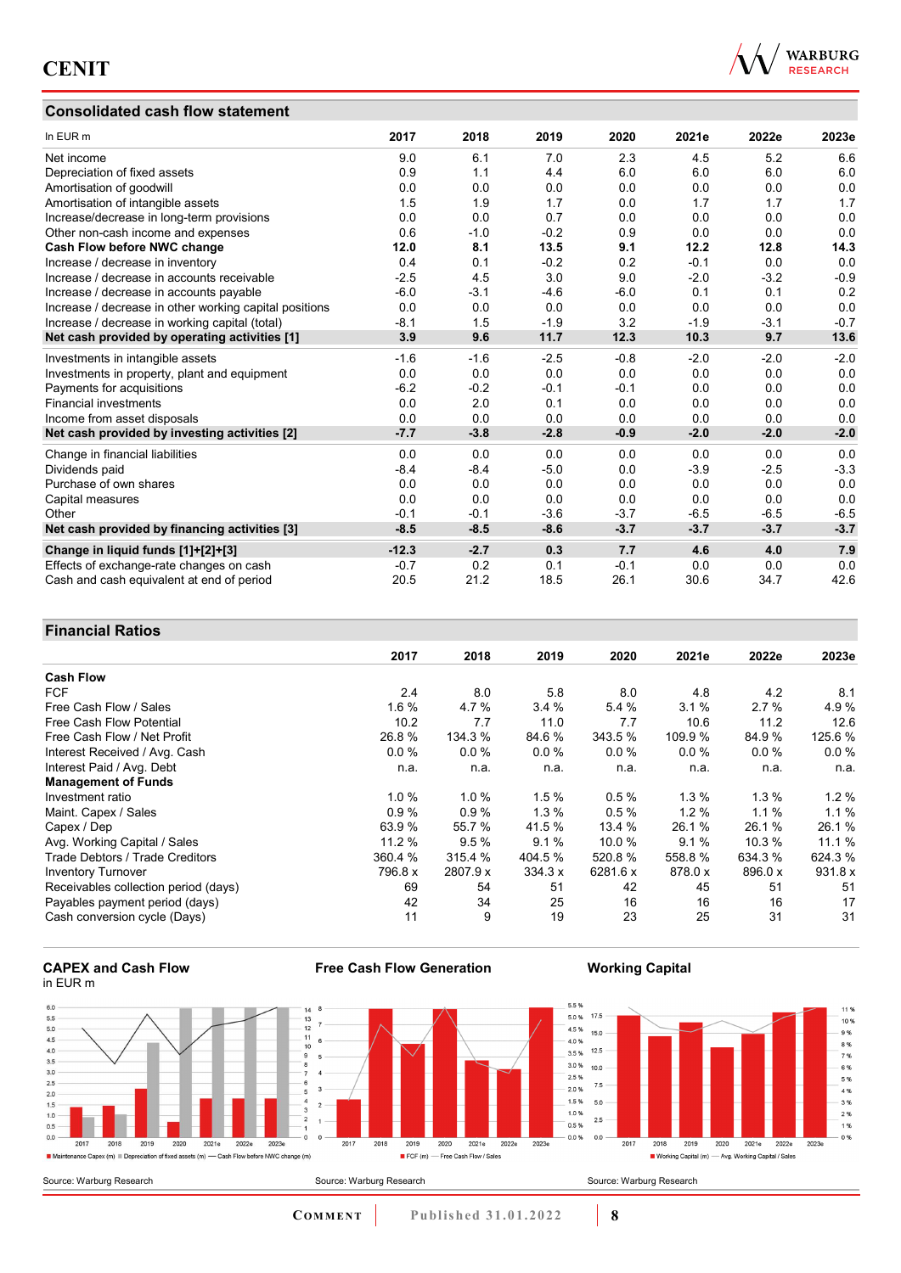## **Consolidated cash flow statement**



| In EUR m                                               | 2017    | 2018   | 2019   | 2020   | 2021e  | 2022e  | 2023e  |
|--------------------------------------------------------|---------|--------|--------|--------|--------|--------|--------|
| Net income                                             | 9.0     | 6.1    | 7.0    | 2.3    | 4.5    | 5.2    | 6.6    |
| Depreciation of fixed assets                           | 0.9     | 1.1    | 4.4    | 6.0    | 6.0    | 6.0    | 6.0    |
| Amortisation of goodwill                               | 0.0     | 0.0    | 0.0    | 0.0    | 0.0    | 0.0    | 0.0    |
| Amortisation of intangible assets                      | 1.5     | 1.9    | 1.7    | 0.0    | 1.7    | 1.7    | 1.7    |
| Increase/decrease in long-term provisions              | 0.0     | 0.0    | 0.7    | 0.0    | 0.0    | 0.0    | 0.0    |
| Other non-cash income and expenses                     | 0.6     | $-1.0$ | $-0.2$ | 0.9    | 0.0    | 0.0    | 0.0    |
| Cash Flow before NWC change                            | 12.0    | 8.1    | 13.5   | 9.1    | 12.2   | 12.8   | 14.3   |
| Increase / decrease in inventory                       | 0.4     | 0.1    | $-0.2$ | 0.2    | $-0.1$ | 0.0    | 0.0    |
| Increase / decrease in accounts receivable             | $-2.5$  | 4.5    | 3.0    | 9.0    | $-2.0$ | $-3.2$ | $-0.9$ |
| Increase / decrease in accounts payable                | $-6.0$  | $-3.1$ | $-4.6$ | $-6.0$ | 0.1    | 0.1    | 0.2    |
| Increase / decrease in other working capital positions | 0.0     | 0.0    | 0.0    | 0.0    | 0.0    | 0.0    | 0.0    |
| Increase / decrease in working capital (total)         | $-8.1$  | 1.5    | $-1.9$ | 3.2    | $-1.9$ | $-3.1$ | $-0.7$ |
| Net cash provided by operating activities [1]          | 3.9     | 9.6    | 11.7   | 12.3   | 10.3   | 9.7    | 13.6   |
| Investments in intangible assets                       | $-1.6$  | $-1.6$ | $-2.5$ | $-0.8$ | $-2.0$ | $-2.0$ | $-2.0$ |
| Investments in property, plant and equipment           | 0.0     | 0.0    | 0.0    | 0.0    | 0.0    | 0.0    | 0.0    |
| Payments for acquisitions                              | $-6.2$  | $-0.2$ | $-0.1$ | $-0.1$ | 0.0    | 0.0    | 0.0    |
| <b>Financial investments</b>                           | 0.0     | 2.0    | 0.1    | 0.0    | 0.0    | 0.0    | 0.0    |
| Income from asset disposals                            | 0.0     | 0.0    | 0.0    | 0.0    | 0.0    | 0.0    | 0.0    |
| Net cash provided by investing activities [2]          | $-7.7$  | $-3.8$ | $-2.8$ | $-0.9$ | $-2.0$ | $-2.0$ | $-2.0$ |
| Change in financial liabilities                        | 0.0     | 0.0    | 0.0    | 0.0    | 0.0    | 0.0    | 0.0    |
| Dividends paid                                         | $-8.4$  | $-8.4$ | $-5.0$ | 0.0    | $-3.9$ | $-2.5$ | $-3.3$ |
| Purchase of own shares                                 | 0.0     | 0.0    | 0.0    | 0.0    | 0.0    | 0.0    | 0.0    |
| Capital measures                                       | 0.0     | 0.0    | 0.0    | 0.0    | 0.0    | 0.0    | 0.0    |
| Other                                                  | $-0.1$  | $-0.1$ | $-3.6$ | $-3.7$ | $-6.5$ | $-6.5$ | $-6.5$ |
| Net cash provided by financing activities [3]          | $-8.5$  | $-8.5$ | $-8.6$ | $-3.7$ | $-3.7$ | $-3.7$ | $-3.7$ |
| Change in liquid funds [1]+[2]+[3]                     | $-12.3$ | $-2.7$ | 0.3    | 7.7    | 4.6    | 4.0    | 7.9    |
| Effects of exchange-rate changes on cash               | $-0.7$  | 0.2    | 0.1    | $-0.1$ | 0.0    | 0.0    | 0.0    |
| Cash and cash equivalent at end of period              | 20.5    | 21.2   | 18.5   | 26.1   | 30.6   | 34.7   | 42.6   |

## **Financial Ratios**

| T THANGH INANO                       |         |          |         |          |          |         |         |
|--------------------------------------|---------|----------|---------|----------|----------|---------|---------|
|                                      | 2017    | 2018     | 2019    | 2020     | 2021e    | 2022e   | 2023e   |
| <b>Cash Flow</b>                     |         |          |         |          |          |         |         |
| <b>FCF</b>                           | 2.4     | 8.0      | 5.8     | 8.0      | 4.8      | 4.2     | 8.1     |
| Free Cash Flow / Sales               | 1.6%    | 4.7%     | 3.4%    | 5.4 %    | 3.1%     | 2.7%    | 4.9%    |
| Free Cash Flow Potential             | 10.2    | 7.7      | 11.0    | 7.7      | 10.6     | 11.2    | 12.6    |
| Free Cash Flow / Net Profit          | 26.8%   | 134.3 %  | 84.6 %  | 343.5 %  | 109.9 %  | 84.9%   | 125.6 % |
| Interest Received / Avg. Cash        | 0.0%    | 0.0%     | $0.0\%$ | 0.0%     | $0.0 \%$ | $0.0\%$ | $0.0\%$ |
| Interest Paid / Avg. Debt            | n.a.    | n.a.     | n.a.    | n.a.     | n.a.     | n.a.    | n.a.    |
| <b>Management of Funds</b>           |         |          |         |          |          |         |         |
| Investment ratio                     | 1.0%    | 1.0%     | 1.5%    | 0.5%     | $1.3\%$  | 1.3%    | $1.2\%$ |
| Maint. Capex / Sales                 | 0.9%    | 0.9%     | $1.3\%$ | 0.5%     | $1.2\%$  | $1.1\%$ | 1.1%    |
| Capex / Dep                          | 63.9%   | 55.7 %   | 41.5 %  | 13.4 %   | 26.1 %   | 26.1 %  | 26.1%   |
| Avg. Working Capital / Sales         | 11.2 %  | 9.5%     | 9.1%    | 10.0 %   | 9.1%     | 10.3%   | 11.1 %  |
| Trade Debtors / Trade Creditors      | 360.4 % | 315.4 %  | 404.5 % | 520.8 %  | 558.8 %  | 634.3 % | 624.3%  |
| <b>Inventory Turnover</b>            | 796.8 x | 2807.9 x | 334.3 x | 6281.6 x | 878.0 x  | 896.0 x | 931.8 x |
| Receivables collection period (days) | 69      | 54       | 51      | 42       | 45       | 51      | 51      |
| Payables payment period (days)       | 42      | 34       | 25      | 16       | 16       | 16      | 17      |
| Cash conversion cycle (Days)         | 11      | 9        | 19      | 23       | 25       | 31      | 31      |





**Free Cash Flow Generation**

**COMMENT** Published 31.01.2022 **8** 

**Working Capital**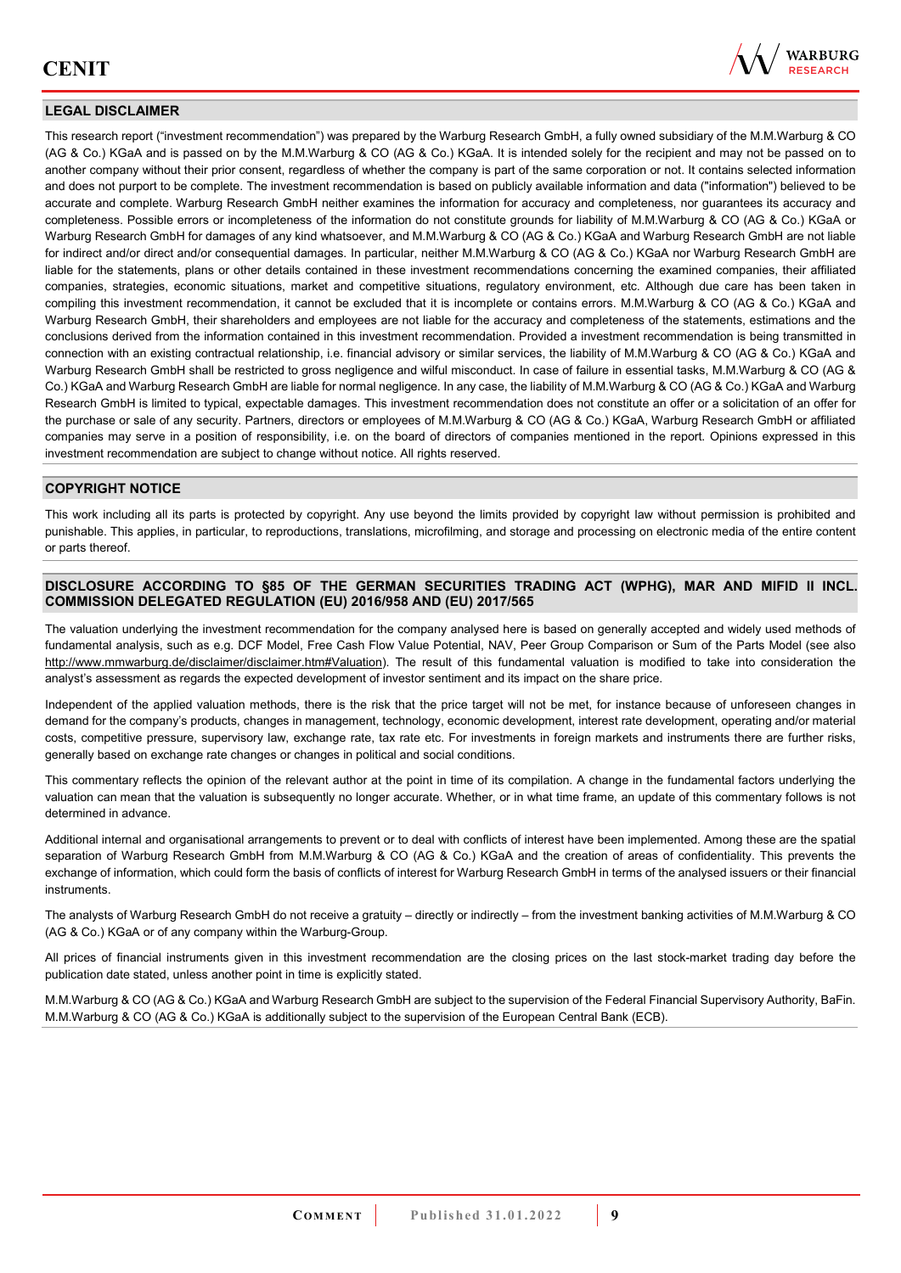

## **LEGAL DISCLAIMER**

This research report ("investment recommendation") was prepared by the Warburg Research GmbH, a fully owned subsidiary of the M.M.Warburg & CO (AG & Co.) KGaA and is passed on by the M.M.Warburg & CO (AG & Co.) KGaA. It is intended solely for the recipient and may not be passed on to another company without their prior consent, regardless of whether the company is part of the same corporation or not. It contains selected information and does not purport to be complete. The investment recommendation is based on publicly available information and data ("information") believed to be accurate and complete. Warburg Research GmbH neither examines the information for accuracy and completeness, nor guarantees its accuracy and completeness. Possible errors or incompleteness of the information do not constitute grounds for liability of M.M.Warburg & CO (AG & Co.) KGaA or Warburg Research GmbH for damages of any kind whatsoever, and M.M.Warburg & CO (AG & Co.) KGaA and Warburg Research GmbH are not liable for indirect and/or direct and/or consequential damages. In particular, neither M.M.Warburg & CO (AG & Co.) KGaA nor Warburg Research GmbH are liable for the statements, plans or other details contained in these investment recommendations concerning the examined companies, their affiliated companies, strategies, economic situations, market and competitive situations, regulatory environment, etc. Although due care has been taken in compiling this investment recommendation, it cannot be excluded that it is incomplete or contains errors. M.M.Warburg & CO (AG & Co.) KGaA and Warburg Research GmbH, their shareholders and employees are not liable for the accuracy and completeness of the statements, estimations and the conclusions derived from the information contained in this investment recommendation. Provided a investment recommendation is being transmitted in connection with an existing contractual relationship, i.e. financial advisory or similar services, the liability of M.M.Warburg & CO (AG & Co.) KGaA and Warburg Research GmbH shall be restricted to gross negligence and wilful misconduct. In case of failure in essential tasks, M.M.Warburg & CO (AG & Co.) KGaA and Warburg Research GmbH are liable for normal negligence. In any case, the liability of M.M.Warburg & CO (AG & Co.) KGaA and Warburg Research GmbH is limited to typical, expectable damages. This investment recommendation does not constitute an offer or a solicitation of an offer for the purchase or sale of any security. Partners, directors or employees of M.M.Warburg & CO (AG & Co.) KGaA, Warburg Research GmbH or affiliated companies may serve in a position of responsibility, i.e. on the board of directors of companies mentioned in the report. Opinions expressed in this investment recommendation are subject to change without notice. All rights reserved.

### **COPYRIGHT NOTICE**

This work including all its parts is protected by copyright. Any use beyond the limits provided by copyright law without permission is prohibited and punishable. This applies, in particular, to reproductions, translations, microfilming, and storage and processing on electronic media of the entire content or parts thereof.

#### **DISCLOSURE ACCORDING TO §85 OF THE GERMAN SECURITIES TRADING ACT (WPHG), MAR AND MIFID II INCL. COMMISSION DELEGATED REGULATION (EU) 2016/958 AND (EU) 2017/565**

The valuation underlying the investment recommendation for the company analysed here is based on generally accepted and widely used methods of fundamental analysis, such as e.g. DCF Model, Free Cash Flow Value Potential, NAV, Peer Group Comparison or Sum of the Parts Model (see also [http://www.mmwarburg.de/disclaimer/disclaimer.htm#Valuation\)](http://www.mmwarburg.de/disclaimer/disclaimer.htm#Valuation). The result of this fundamental valuation is modified to take into consideration the analyst's assessment as regards the expected development of investor sentiment and its impact on the share price.

Independent of the applied valuation methods, there is the risk that the price target will not be met, for instance because of unforeseen changes in demand for the company's products, changes in management, technology, economic development, interest rate development, operating and/or material costs, competitive pressure, supervisory law, exchange rate, tax rate etc. For investments in foreign markets and instruments there are further risks, generally based on exchange rate changes or changes in political and social conditions.

This commentary reflects the opinion of the relevant author at the point in time of its compilation. A change in the fundamental factors underlying the valuation can mean that the valuation is subsequently no longer accurate. Whether, or in what time frame, an update of this commentary follows is not determined in advance.

Additional internal and organisational arrangements to prevent or to deal with conflicts of interest have been implemented. Among these are the spatial separation of Warburg Research GmbH from M.M.Warburg & CO (AG & Co.) KGaA and the creation of areas of confidentiality. This prevents the exchange of information, which could form the basis of conflicts of interest for Warburg Research GmbH in terms of the analysed issuers or their financial instruments.

The analysts of Warburg Research GmbH do not receive a gratuity – directly or indirectly – from the investment banking activities of M.M.Warburg & CO (AG & Co.) KGaA or of any company within the Warburg-Group.

All prices of financial instruments given in this investment recommendation are the closing prices on the last stock-market trading day before the publication date stated, unless another point in time is explicitly stated.

M.M.Warburg & CO (AG & Co.) KGaA and Warburg Research GmbH are subject to the supervision of the Federal Financial Supervisory Authority, BaFin. M.M.Warburg & CO (AG & Co.) KGaA is additionally subject to the supervision of the European Central Bank (ECB).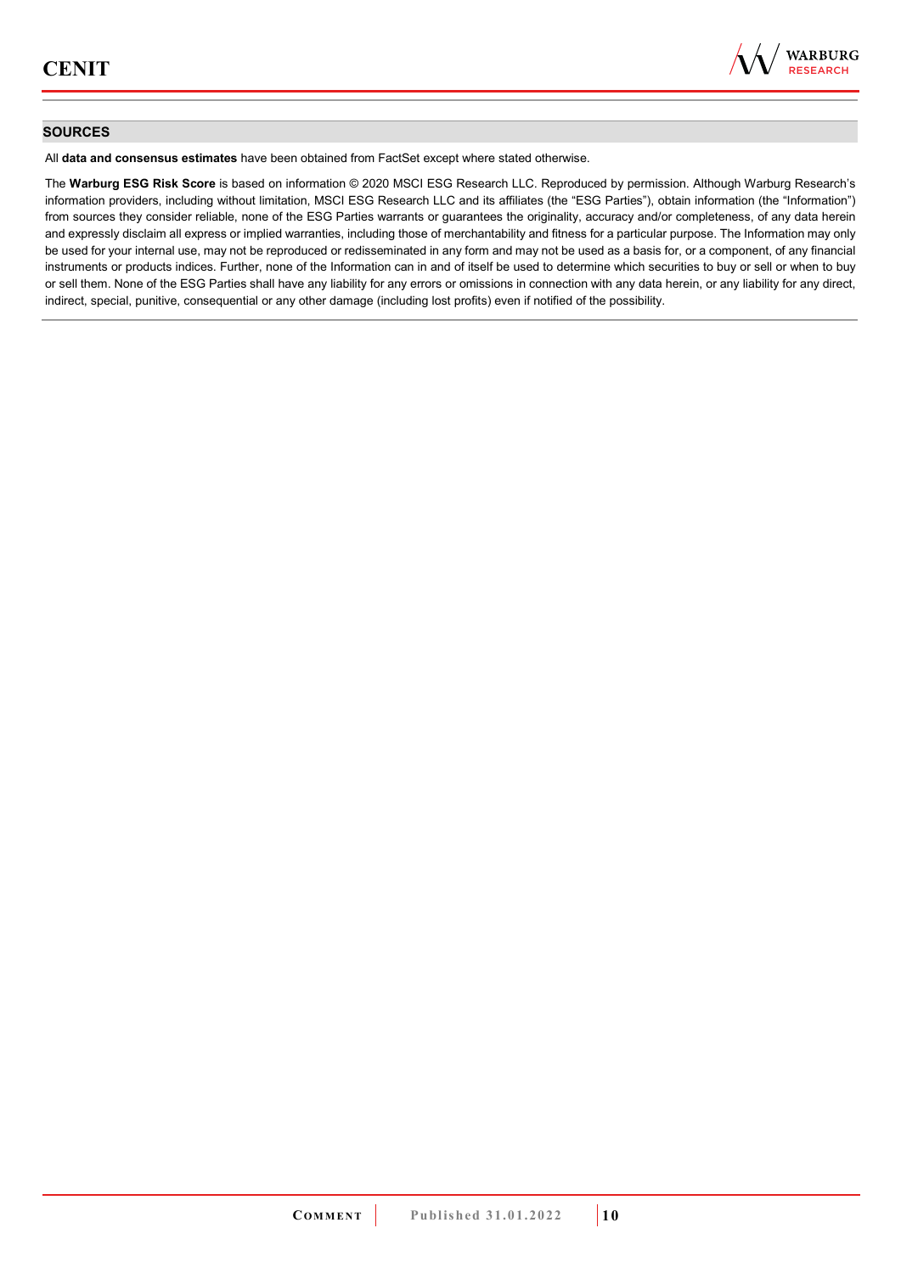

#### **SOURCES**

All **data and consensus estimates** have been obtained from FactSet except where stated otherwise.

The **Warburg ESG Risk Score** is based on information © 2020 MSCI ESG Research LLC. Reproduced by permission. Although Warburg Research's information providers, including without limitation, MSCI ESG Research LLC and its affiliates (the "ESG Parties"), obtain information (the "Information") from sources they consider reliable, none of the ESG Parties warrants or guarantees the originality, accuracy and/or completeness, of any data herein and expressly disclaim all express or implied warranties, including those of merchantability and fitness for a particular purpose. The Information may only be used for your internal use, may not be reproduced or redisseminated in any form and may not be used as a basis for, or a component, of any financial instruments or products indices. Further, none of the Information can in and of itself be used to determine which securities to buy or sell or when to buy or sell them. None of the ESG Parties shall have any liability for any errors or omissions in connection with any data herein, or any liability for any direct, indirect, special, punitive, consequential or any other damage (including lost profits) even if notified of the possibility.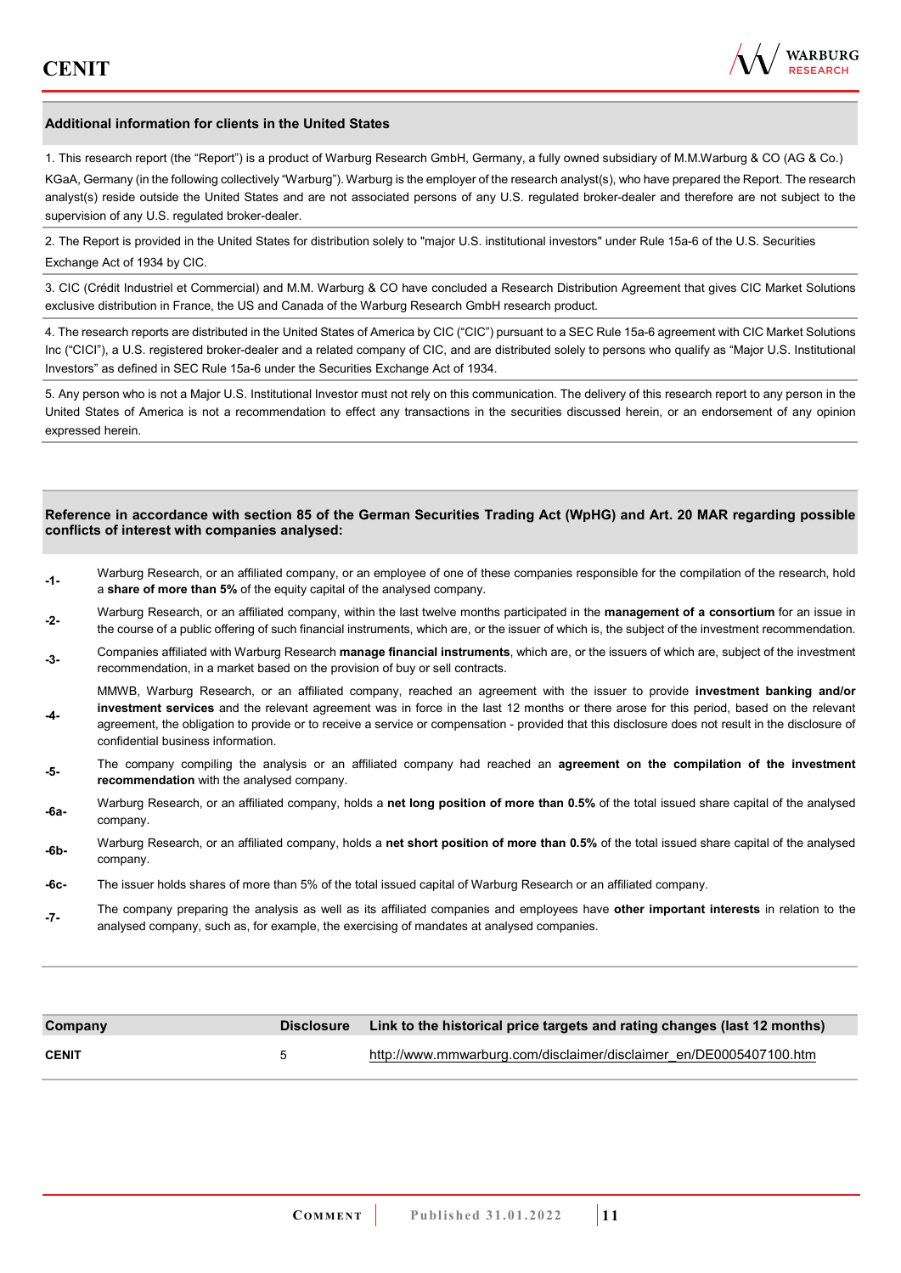**-4-** 



#### **Additional information for clients in the United States**

1. This research report (the "Report") is a product of Warburg Research GmbH, Germany, a fully owned subsidiary of M.M.Warburg & CO (AG & Co.) KGaA, Germany (in the following collectively "Warburg"). Warburg is the employer of the research analyst(s), who have prepared the Report. The research analyst(s) reside outside the United States and are not associated persons of any U.S. regulated broker-dealer and therefore are not subject to the supervision of any U.S. regulated broker-dealer.

2. The Report is provided in the United States for distribution solely to "major U.S. institutional investors" under Rule 15a-6 of the U.S. Securities Exchange Act of 1934 by CIC.

3. CIC (Crédit Industriel et Commercial) and M.M. Warburg & CO have concluded a Research Distribution Agreement that gives CIC Market Solutions exclusive distribution in France, the US and Canada of the Warburg Research GmbH research product.

4. The research reports are distributed in the United States of America by CIC ("CIC") pursuant to a SEC Rule 15a-6 agreement with CIC Market Solutions Inc ("CICI"), a U.S. registered broker-dealer and a related company of CIC, and are distributed solely to persons who qualify as "Major U.S. Institutional Investors" as defined in SEC Rule 15a-6 under the Securities Exchange Act of 1934.

5. Any person who is not a Major U.S. Institutional Investor must not rely on this communication. The delivery of this research report to any person in the United States of America is not a recommendation to effect any transactions in the securities discussed herein, or an endorsement of any opinion expressed herein.

#### **Reference in accordance with section 85 of the German Securities Trading Act (WpHG) and Art. 20 MAR regarding possible conflicts of interest with companies analysed:**

- **-1-** Warburg Research, or an affiliated company, or an employee of one of these companies responsible for the compilation of the research, hold a **share of more than 5%** of the equity capital of the analysed company.
- **-2-** Warburg Research, or an affiliated company, within the last twelve months participated in the **management of a consortium** for an issue in the course of a public offering of such financial instruments, which are, or the issuer of which is, the subject of the investment recommendation.
- **-3-** Companies affiliated with Warburg Research **manage financial instruments**, which are, or the issuers of which are, subject of the investment recommendation, in a market based on the provision of buy or sell contracts.

MMWB, Warburg Research, or an affiliated company, reached an agreement with the issuer to provide **investment banking and/or investment services** and the relevant agreement was in force in the last 12 months or there arose for this period, based on the relevant agreement, the obligation to provide or to receive a service or compensation - provided that this disclosure does not result in the disclosure of

- confidential business information.
- **-5-** The company compiling the analysis or an affiliated company had reached an **agreement on the compilation of the investment recommendation** with the analysed company.
- **-6a-** Warburg Research, or an affiliated company, holds a **net long position of more than 0.5%** of the total issued share capital of the analysed company.
- **-6b-** Warburg Research, or an affiliated company, holds a **net short position of more than 0.5%** of the total issued share capital of the analysed company.
- **-6c-** The issuer holds shares of more than 5% of the total issued capital of Warburg Research or an affiliated company.
- **-7-** The company preparing the analysis as well as its affiliated companies and employees have **other important interests** in relation to the analysed company, such as, for example, the exercising of mandates at analysed companies.

| Company      | Disclosure Link to the historical price targets and rating changes (last 12 months) |
|--------------|-------------------------------------------------------------------------------------|
| <b>CENIT</b> | http://www.mmwarburg.com/disclaimer/disclaimer_en/DE0005407100.htm                  |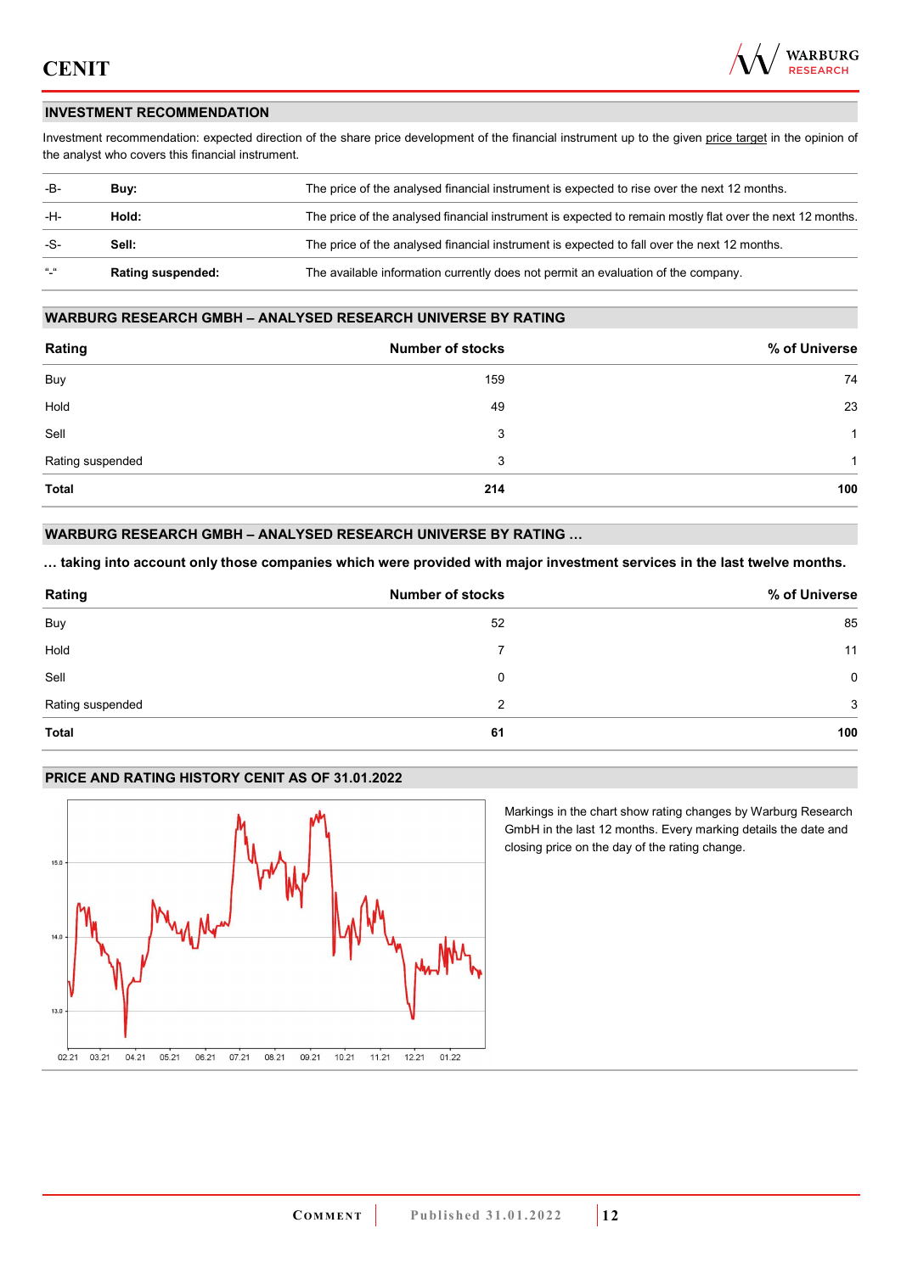

## **INVESTMENT RECOMMENDATION**

Investment recommendation: expected direction of the share price development of the financial instrument up to the given price target in the opinion of the analyst who covers this financial instrument.

| -B-                                 | Buv:                     | The price of the analysed financial instrument is expected to rise over the next 12 months.               |
|-------------------------------------|--------------------------|-----------------------------------------------------------------------------------------------------------|
| -H-                                 | Hold:                    | The price of the analysed financial instrument is expected to remain mostly flat over the next 12 months. |
| -S-                                 | Sell:                    | The price of the analysed financial instrument is expected to fall over the next 12 months.               |
| $^{\prime\prime}$ $^{\prime\prime}$ | <b>Rating suspended:</b> | The available information currently does not permit an evaluation of the company.                         |

### **WARBURG RESEARCH GMBH – ANALYSED RESEARCH UNIVERSE BY RATING**

| Rating           | <b>Number of stocks</b> | % of Universe |
|------------------|-------------------------|---------------|
| Buy              | 159                     | 74            |
| Hold             | 49                      | 23            |
| Sell             | 3                       | 1             |
| Rating suspended | 3                       | 1             |
| Total            | 214                     | 100           |

#### **WARBURG RESEARCH GMBH – ANALYSED RESEARCH UNIVERSE BY RATING …**

**… taking into account only those companies which were provided with major investment services in the last twelve months.** 

| Rating           | <b>Number of stocks</b> | % of Universe |
|------------------|-------------------------|---------------|
| Buy              | 52                      | 85            |
| Hold             |                         | 11            |
| Sell             | 0                       | $\mathbf 0$   |
| Rating suspended | 2                       | 3             |
| <b>Total</b>     | 61                      | 100           |

## **PRICE AND RATING HISTORY CENIT AS OF 31.01.2022**



Markings in the chart show rating changes by Warburg Research GmbH in the last 12 months. Every marking details the date and closing price on the day of the rating change.